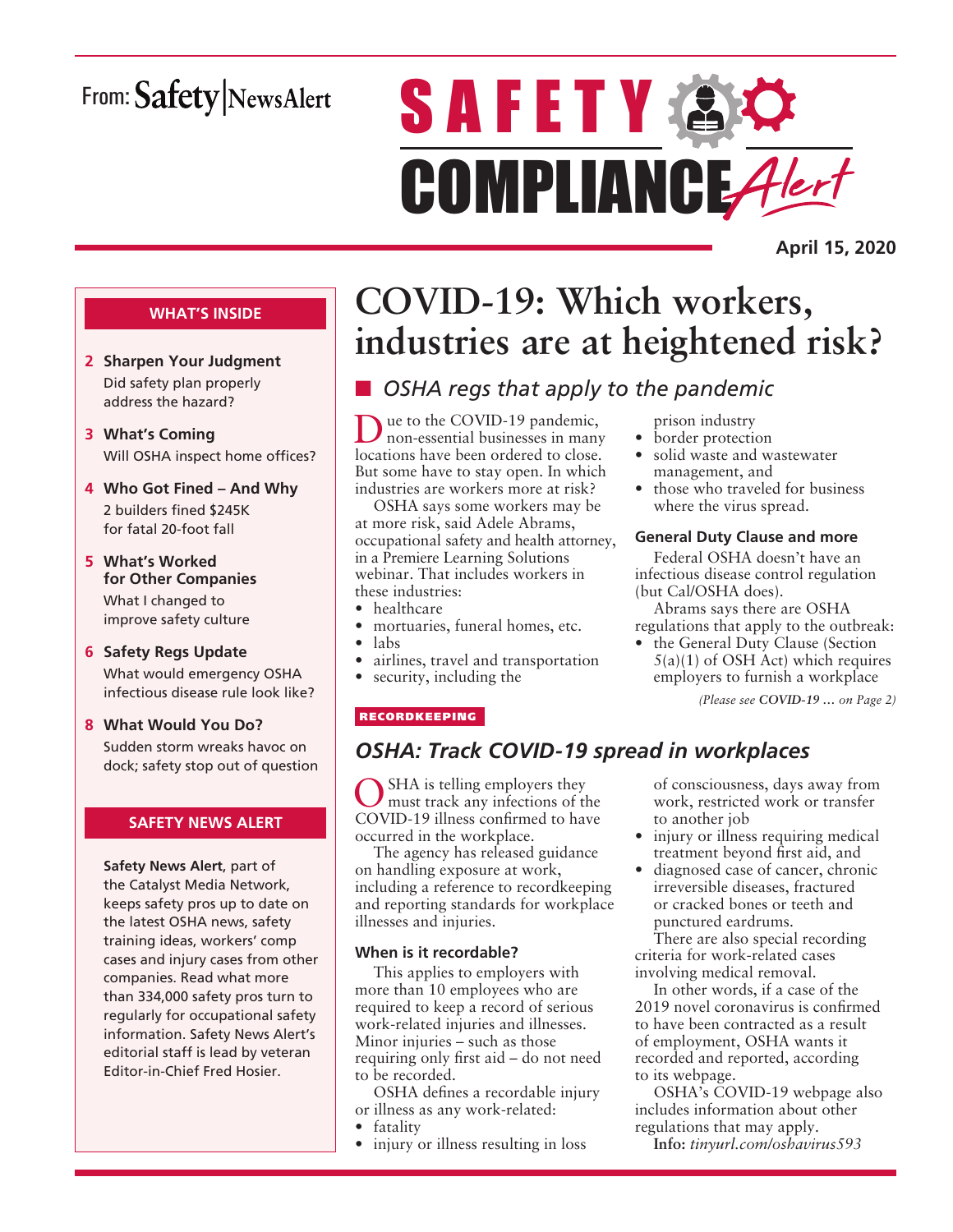# From: Safety NewsAlert

# **SAFETY AC** COMPLIANCE Alert

**April 15, 2020**

### **WHAT'S INSIDE**

- **2 Sharpen Your Judgment** Did safety plan properly address the hazard?
- **3 What's Coming** Will OSHA inspect home offices?
- **4 Who Got Fined And Why** 2 builders fined \$245K for fatal 20-foot fall
- **5 What's Worked for Other Companies** What I changed to improve safety culture
- **6 Safety Regs Update** What would emergency OSHA infectious disease rule look like?
- **8 What Would You Do?** Sudden storm wreaks havoc on dock; safety stop out of question

### **SAFETY NEWS ALERT**

**Safety News Alert**, part of the Catalyst Media Network, keeps safety pros up to date on the latest OSHA news, safety training ideas, workers' comp cases and injury cases from other companies. Read what more than 334,000 safety pros turn to regularly for occupational safety information. Safety News Alert's editorial staff is lead by veteran Editor-in-Chief Fred Hosier.

# **COVID-19: Which workers, industries are at heightened risk?**

### **n** OSHA regs that apply to the pandemic

Due to the COVID-19 pandemic, non-essential businesses in many locations have been ordered to close. But some have to stay open. In which industries are workers more at risk?

OSHA says some workers may be at more risk, said Adele Abrams, occupational safety and health attorney, in a Premiere Learning Solutions webinar. That includes workers in these industries:

- healthcare
- mortuaries, funeral homes, etc.
- labs
- airlines, travel and transportation
- security, including the

### prison industry

- border protection
- solid waste and wastewater management, and
- those who traveled for business where the virus spread.

### **General Duty Clause and more**

Federal OSHA doesn't have an infectious disease control regulation (but Cal/OSHA does).

Abrams says there are OSHA regulations that apply to the outbreak:

the General Duty Clause (Section  $5(a)(1)$  of OSH Act) which requires employers to furnish a workplace

*(Please see COVID-19 … on Page 2)*

### RECORDKEEPING

### *OSHA: Track COVID-19 spread in workplaces*

SHA is telling employers they must track any infections of the COVID-19 illness confirmed to have occurred in the workplace.

The agency has released guidance on handling exposure at work, including a reference to recordkeeping and reporting standards for workplace illnesses and injuries.

### **When is it recordable?**

This applies to employers with more than 10 employees who are required to keep a record of serious work-related injuries and illnesses. Minor injuries – such as those requiring only first aid – do not need to be recorded.

OSHA defines a recordable injury or illness as any work-related:

- fatality
- injury or illness resulting in loss

of consciousness, days away from work, restricted work or transfer to another job

- injury or illness requiring medical treatment beyond first aid, and
- diagnosed case of cancer, chronic irreversible diseases, fractured or cracked bones or teeth and punctured eardrums.

There are also special recording criteria for work-related cases involving medical removal.

In other words, if a case of the 2019 novel coronavirus is confirmed to have been contracted as a result of employment, OSHA wants it recorded and reported, according to its webpage.

OSHA's COVID-19 webpage also includes information about other regulations that may apply.

**Info:** *tinyurl.com/oshavirus593*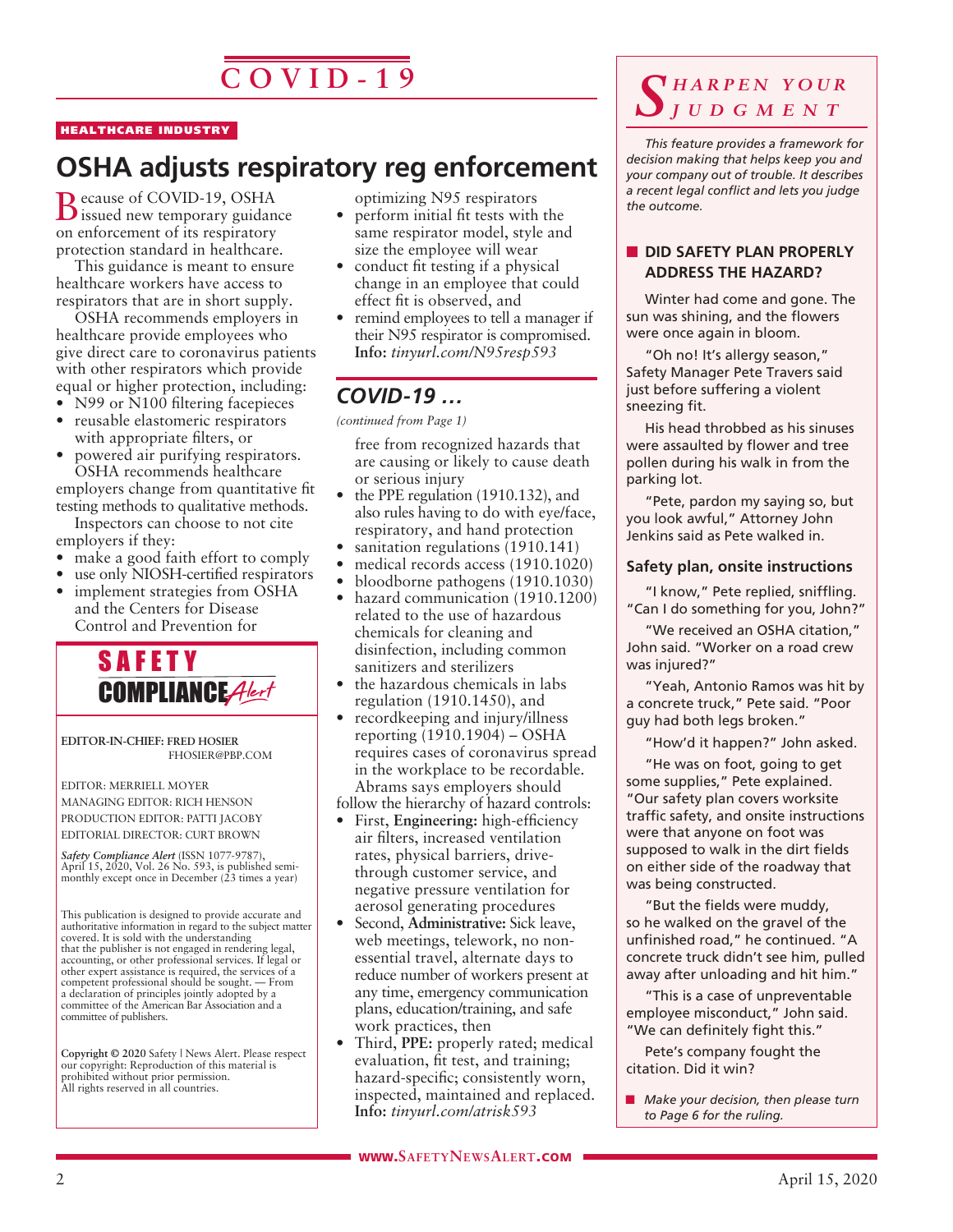# **C O V I D - 1 9**

#### HEALTHCARE INDUSTRY

# **OSHA adjusts respiratory reg enforcement**

Because of COVID-19, OSHA issued new temporary guidance on enforcement of its respiratory protection standard in healthcare.

This guidance is meant to ensure healthcare workers have access to respirators that are in short supply.

OSHA recommends employers in healthcare provide employees who give direct care to coronavirus patients with other respirators which provide equal or higher protection, including:

- N99 or N100 filtering facepieces
- reusable elastomeric respirators with appropriate filters, or
- powered air purifying respirators. OSHA recommends healthcare

employers change from quantitative fit testing methods to qualitative methods.

Inspectors can choose to not cite employers if they:

- make a good faith effort to comply
- use only NIOSH-certified respirators
- implement strategies from OSHA and the Centers for Disease Control and Prevention for



**EDITOR-IN-CHIEF: FRED HOSIER** FHOSIER@PBP.COM

EDITOR: MERRIELL MOYER MANAGING EDITOR: RICH HENSON PRODUCTION EDITOR: PATTI JACOBY EDITORIAL DIRECTOR: CURT BROWN

*Safety Compliance Alert* (ISSN 1077-9787), April 15, 2020, Vol. 26 No. 593, is published semimonthly except once in December (23 times a year)

This publication is designed to provide accurate and authoritative information in regard to the subject matter covered. It is sold with the understanding that the publisher is not engaged in rendering legal, accounting, or other professional services. If legal or other expert assistance is required, the services of a competent professional should be sought. — From a declaration of principles jointly adopted by a committee of the American Bar Association and a committee of publishers.

**Copyright © 2020** Safety | News Alert. Please respect our copyright: Reproduction of this material is prohibited without prior permission. All rights reserved in all countries.

optimizing N95 respirators

- perform initial fit tests with the same respirator model, style and size the employee will wear
- conduct fit testing if a physical change in an employee that could effect fit is observed, and
- remind employees to tell a manager if their N95 respirator is compromised. **Info:** *tinyurl.com/N95resp593*

### *COVID-19 …*

*(continued from Page 1)*

free from recognized hazards that are causing or likely to cause death or serious injury

- the PPE regulation (1910.132), and also rules having to do with eye/face, respiratory, and hand protection
- sanitation regulations (1910.141)
- medical records access (1910.1020)
- bloodborne pathogens (1910.1030)
- hazard communication (1910.1200) related to the use of hazardous chemicals for cleaning and disinfection, including common sanitizers and sterilizers
- the hazardous chemicals in labs regulation (1910.1450), and
- record keeping and injury/illness reporting (1910.1904) – OSHA requires cases of coronavirus spread in the workplace to be recordable. Abrams says employers should
- follow the hierarchy of hazard controls:
- First, **Engineering:** high-efficiency air filters, increased ventilation rates, physical barriers, drivethrough customer service, and negative pressure ventilation for aerosol generating procedures
- Second, **Administrative:** Sick leave, web meetings, telework, no nonessential travel, alternate days to reduce number of workers present at any time, emergency communication plans, education/training, and safe work practices, then
- Third, **PPE:** properly rated; medical evaluation, fit test, and training; hazard-specific; consistently worn, inspected, maintained and replaced. **Info:** *tinyurl.com/atrisk593*

### *S h a r p e n y o u r j u d g m e n t*

*This feature provides a framework for decision making that helps keep you and your company out of trouble. It describes a recent legal conflict and lets you judge the outcome.*

### **N** DID SAFETY PLAN PROPERLY **ADDRESS THE HAZARD?**

Winter had come and gone. The sun was shining, and the flowers were once again in bloom.

"Oh no! It's allergy season," Safety Manager Pete Travers said just before suffering a violent sneezing fit.

His head throbbed as his sinuses were assaulted by flower and tree pollen during his walk in from the parking lot.

"Pete, pardon my saying so, but you look awful," Attorney John Jenkins said as Pete walked in.

### **Safety plan, onsite instructions**

"I know," Pete replied, sniffling. "Can I do something for you, John?"

"We received an OSHA citation," John said. "Worker on a road crew was injured?"

"Yeah, Antonio Ramos was hit by a concrete truck," Pete said. "Poor guy had both legs broken."

"How'd it happen?" John asked.

"He was on foot, going to get some supplies," Pete explained. "Our safety plan covers worksite traffic safety, and onsite instructions were that anyone on foot was supposed to walk in the dirt fields on either side of the roadway that was being constructed.

"But the fields were muddy, so he walked on the gravel of the unfinished road," he continued. "A concrete truck didn't see him, pulled away after unloading and hit him."

"This is a case of unpreventable employee misconduct," John said. "We can definitely fight this."

Pete's company fought the citation. Did it win?

**n** *Make your decision, then please turn to Page 6 for the ruling.*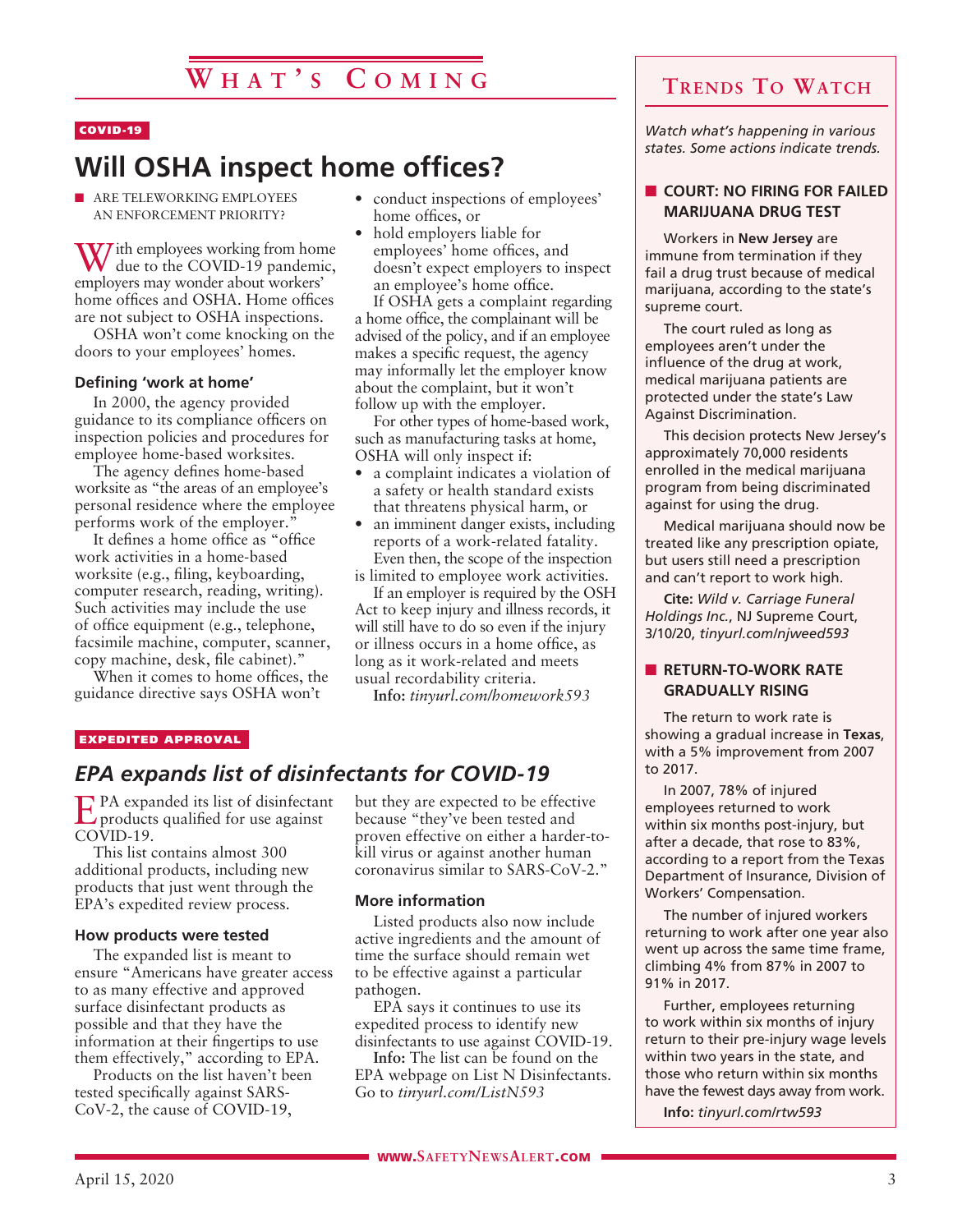### COVID-19

# **Will OSHA inspect home offices?**

**N ARE TELEWORKING EMPLOYEES** AN ENFORCEMENT PRIORITY?

With employees working from home<br>due to the COVID-19 pandemic, employers may wonder about workers' home offices and OSHA. Home offices are not subject to OSHA inspections.

OSHA won't come knocking on the doors to your employees' homes.

### **Defining 'work at home'**

In 2000, the agency provided guidance to its compliance officers on inspection policies and procedures for employee home-based worksites.

The agency defines home-based worksite as "the areas of an employee's personal residence where the employee performs work of the employer."

It defines a home office as "office work activities in a home-based worksite (e.g., filing, keyboarding, computer research, reading, writing). Such activities may include the use of office equipment (e.g., telephone, facsimile machine, computer, scanner, copy machine, desk, file cabinet)."

When it comes to home offices, the guidance directive says OSHA won't

- conduct inspections of employees' home offices, or
- hold employers liable for employees' home offices, and doesn't expect employers to inspect an employee's home office. If OSHA gets a complaint regarding

a home office, the complainant will be advised of the policy, and if an employee makes a specific request, the agency may informally let the employer know about the complaint, but it won't follow up with the employer.

For other types of home-based work, such as manufacturing tasks at home, OSHA will only inspect if:

- a complaint indicates a violation of a safety or health standard exists that threatens physical harm, or
- an imminent danger exists, including reports of a work-related fatality. Even then, the scope of the inspection

is limited to employee work activities. If an employer is required by the OSH

Act to keep injury and illness records, it will still have to do so even if the injury or illness occurs in a home office, as long as it work-related and meets usual recordability criteria.

**Info:** *tinyurl.com/homework593*

### EXPEDITED APPROVAL

### *EPA expands list of disinfectants for COVID-19*

EPA expanded its list of disinfectant products qualified for use against COVID-19.

This list contains almost 300 additional products, including new products that just went through the EPA's expedited review process.

### **How products were tested**

The expanded list is meant to ensure "Americans have greater access to as many effective and approved surface disinfectant products as possible and that they have the information at their fingertips to use them effectively," according to EPA.

Products on the list haven't been tested specifically against SARS-CoV-2, the cause of COVID-19,

but they are expected to be effective because "they've been tested and proven effective on either a harder-tokill virus or against another human coronavirus similar to SARS-CoV-2."

### **More information**

Listed products also now include active ingredients and the amount of time the surface should remain wet to be effective against a particular pathogen.

EPA says it continues to use its expedited process to identify new disinfectants to use against COVID-19.

**Info:** The list can be found on the EPA webpage on List N Disinfectants. Go to *tinyurl.com/ListN593*

*Watch what's happening in various states. Some actions indicate trends.*

### **N** COURT: NO FIRING FOR FAILED **MARIJUANA DRUG TEST**

Workers in **New Jersey** are immune from termination if they fail a drug trust because of medical marijuana, according to the state's supreme court.

The court ruled as long as employees aren't under the influence of the drug at work, medical marijuana patients are protected under the state's Law Against Discrimination.

This decision protects New Jersey's approximately 70,000 residents enrolled in the medical marijuana program from being discriminated against for using the drug.

Medical marijuana should now be treated like any prescription opiate, but users still need a prescription and can't report to work high.

**Cite:** *Wild v. Carriage Funeral Holdings Inc.*, NJ Supreme Court, 3/10/20, *tinyurl.com/njweed593*

### **N** RETURN-TO-WORK RATE **GRADUALLY RISING**

The return to work rate is showing a gradual increase in **Texas**, with a 5% improvement from 2007 to 2017.

In 2007, 78% of injured employees returned to work within six months post-injury, but after a decade, that rose to 83%, according to a report from the Texas Department of Insurance, Division of Workers' Compensation.

The number of injured workers returning to work after one year also went up across the same time frame, climbing 4% from 87% in 2007 to 91% in 2017.

Further, employees returning to work within six months of injury return to their pre-injury wage levels within two years in the state, and those who return within six months have the fewest days away from work.

**Info:** *tinyurl.com/rtw593*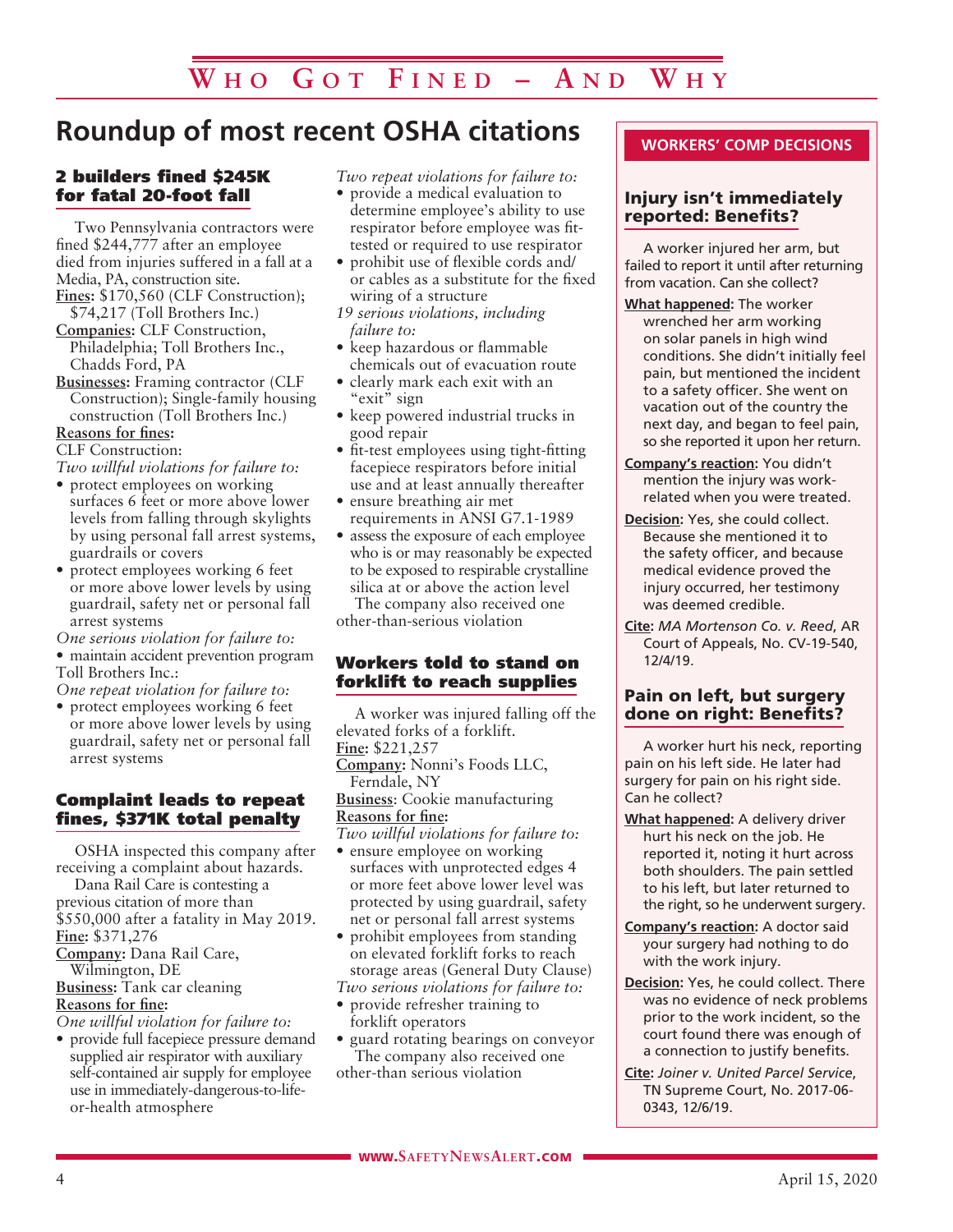# **Roundup of most recent OSHA citations**

### 2 builders fined \$245K for fatal 20-foot fall

Two Pennsylvania contractors were fined \$244,777 after an employee died from injuries suffered in a fall at a Media, PA, construction site.

- Fines: \$170,560 (CLF Construction); \$74,217 (Toll Brothers Inc.)
- **Companies:** CLF Construction, Philadelphia; Toll Brothers Inc., Chadds Ford, PA
- **Businesses:** Framing contractor (CLF Construction); Single-family housing construction (Toll Brothers Inc.)

**Reasons for fines:**

CLF Construction:

*Two willful violations for failure to:*

- protect employees on working surfaces 6 feet or more above lower levels from falling through skylights by using personal fall arrest systems, guardrails or covers
- protect employees working 6 feet or more above lower levels by using guardrail, safety net or personal fall arrest systems

*One serious violation for failure to:*

• maintain accident prevention program Toll Brothers Inc.:

*One repeat violation for failure to:*

• protect employees working 6 feet or more above lower levels by using guardrail, safety net or personal fall arrest systems

### Complaint leads to repeat fines, \$371K total penalty

OSHA inspected this company after receiving a complaint about hazards.

Dana Rail Care is contesting a previous citation of more than \$550,000 after a fatality in May 2019. **Fine:** \$371,276

**Company:** Dana Rail Care,

Wilmington, DE

**Business:** Tank car cleaning

**Reasons for fine:**

*One willful violation for failure to:*

• provide full facepiece pressure demand supplied air respirator with auxiliary self-contained air supply for employee use in immediately-dangerous-to-lifeor-health atmosphere

*Two repeat violations for failure to:*

- provide a medical evaluation to determine employee's ability to use respirator before employee was fittested or required to use respirator
- prohibit use of flexible cords and/ or cables as a substitute for the fixed wiring of a structure
- *19 serious violations, including failure to:*
- keep hazardous or flammable chemicals out of evacuation route
- clearly mark each exit with an "exit" sign
- keep powered industrial trucks in good repair
- fit-test employees using tight-fitting facepiece respirators before initial use and at least annually thereafter
- ensure breathing air met requirements in ANSI G7.1-1989
- assess the exposure of each employee who is or may reasonably be expected to be exposed to respirable crystalline silica at or above the action level

The company also received one other-than-serious violation

### Workers told to stand on forklift to reach supplies

A worker was injured falling off the elevated forks of a forklift. **Fine:** \$221,257 **Company:** Nonni's Foods LLC,

Ferndale, NY

**Business**: Cookie manufacturing **Reasons for fine:**

*Two willful violations for failure to:*

- ensure employee on working surfaces with unprotected edges 4 or more feet above lower level was protected by using guardrail, safety net or personal fall arrest systems
- prohibit employees from standing on elevated forklift forks to reach storage areas (General Duty Clause) *Two serious violations for failure to:*
- provide refresher training to forklift operators
- guard rotating bearings on conveyor The company also received one
- other-than serious violation

### **WORKERS' COMP DECISIONS**

### Injury isn't immediately reported: Benefits?

A worker injured her arm, but failed to report it until after returning from vacation. Can she collect?

- **What happened:** The worker wrenched her arm working on solar panels in high wind conditions. She didn't initially feel pain, but mentioned the incident to a safety officer. She went on vacation out of the country the next day, and began to feel pain, so she reported it upon her return.
- **Company's reaction:** You didn't mention the injury was workrelated when you were treated.
- **Decision:** Yes, she could collect. Because she mentioned it to the safety officer, and because medical evidence proved the injury occurred, her testimony was deemed credible.
- **Cite:** *MA Mortenson Co. v. Reed*, AR Court of Appeals, No. CV-19-540, 12/4/19.

### Pain on left, but surgery done on right: Benefits?

A worker hurt his neck, reporting pain on his left side. He later had surgery for pain on his right side. Can he collect?

- **What happened:** A delivery driver hurt his neck on the job. He reported it, noting it hurt across both shoulders. The pain settled to his left, but later returned to the right, so he underwent surgery.
- **Company's reaction:** A doctor said your surgery had nothing to do with the work injury.
- **Decision:** Yes, he could collect. There was no evidence of neck problems prior to the work incident, so the court found there was enough of a connection to justify benefits.
- **Cite:** *Joiner v. United Parcel Service*, TN Supreme Court, No. 2017-06- 0343, 12/6/19.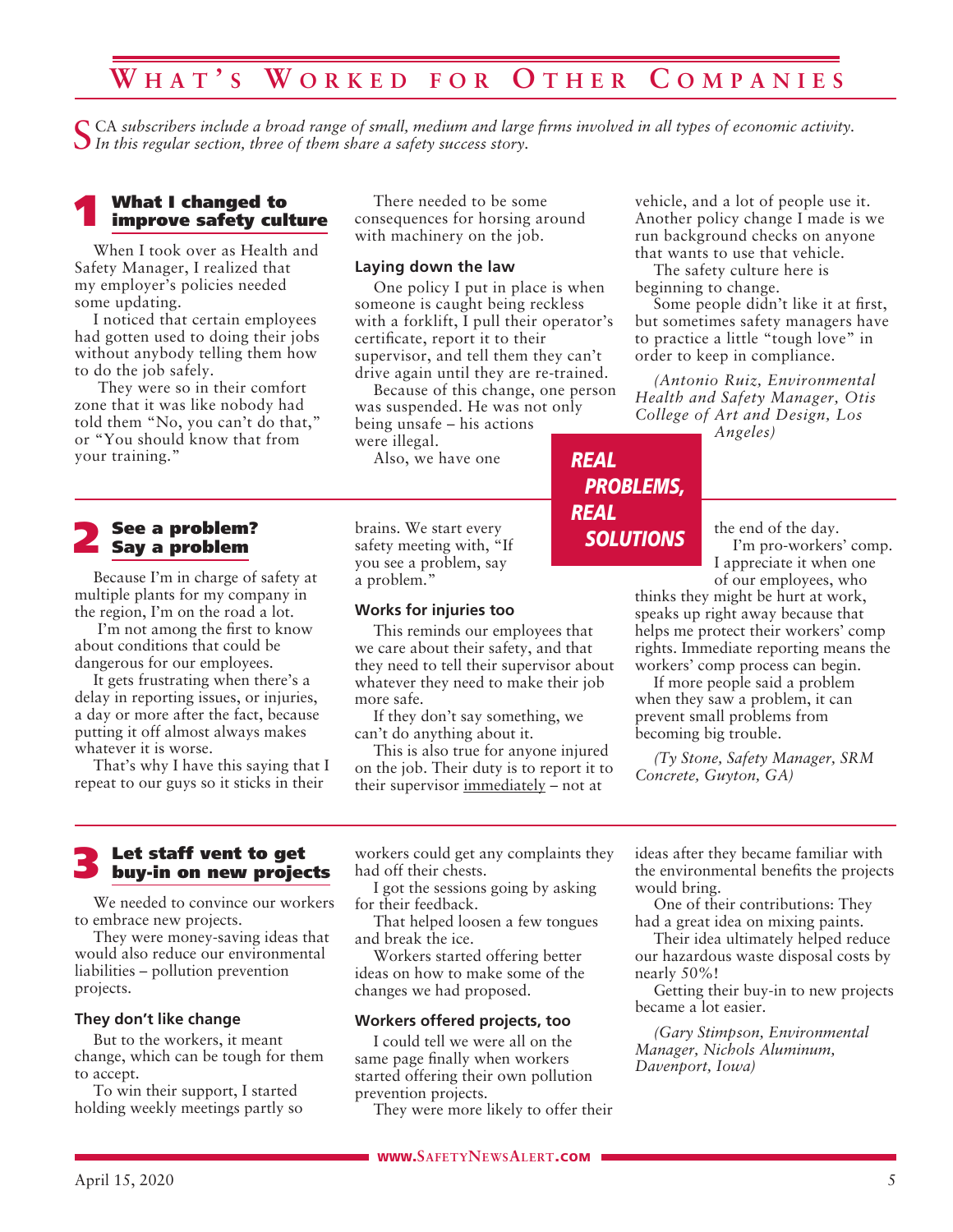### **W h a t ' s W o r k e d f o r O t h e r C o m p a ni e s**

CA subscribers include a broad range of small, medium and large firms involved in all types of economic activity. *In this regular section, three of them share a safety success story.*

# 1 What I changed to improve safety culture

When I took over as Health and Safety Manager, I realized that my employer's policies needed some updating.

I noticed that certain employees had gotten used to doing their jobs without anybody telling them how to do the job safely.

 They were so in their comfort zone that it was like nobody had told them "No, you can't do that," or "You should know that from your training."

# 2 See a problem? Say a problem

Because I'm in charge of safety at multiple plants for my company in the region, I'm on the road a lot.

 I'm not among the first to know about conditions that could be dangerous for our employees.

It gets frustrating when there's a delay in reporting issues, or injuries, a day or more after the fact, because putting it off almost always makes whatever it is worse.

That's why I have this saying that I repeat to our guys so it sticks in their

There needed to be some consequences for horsing around with machinery on the job.

#### **Laying down the law**

One policy I put in place is when someone is caught being reckless with a forklift, I pull their operator's certificate, report it to their supervisor, and tell them they can't drive again until they are re-trained.

Because of this change, one person was suspended. He was not only being unsafe – his actions were illegal.

*REAL*

*REAL*

*PROBLEMS,*

*SOLUTIONS*

Also, we have one

brains. We start every safety meeting with, "If you see a problem, say a problem."

### **Works for injuries too**

This reminds our employees that we care about their safety, and that they need to tell their supervisor about whatever they need to make their job more safe.

If they don't say something, we can't do anything about it.

This is also true for anyone injured on the job. Their duty is to report it to their supervisor immediately – not at

vehicle, and a lot of people use it. Another policy change I made is we run background checks on anyone that wants to use that vehicle.

The safety culture here is beginning to change.

Some people didn't like it at first, but sometimes safety managers have to practice a little "tough love" in order to keep in compliance.

*(Antonio Ruiz, Environmental Health and Safety Manager, Otis College of Art and Design, Los* 

*Angeles)*

the end of the day. I'm pro-workers' comp. I appreciate it when one

of our employees, who thinks they might be hurt at work, speaks up right away because that helps me protect their workers' comp rights. Immediate reporting means the workers' comp process can begin.

If more people said a problem when they saw a problem, it can prevent small problems from becoming big trouble.

*(Ty Stone, Safety Manager, SRM Concrete, Guyton, GA)*

# 3 Let staff vent to get buy-in on new projects

We needed to convince our workers to embrace new projects.

They were money-saving ideas that would also reduce our environmental liabilities – pollution prevention projects.

### **They don't like change**

But to the workers, it meant change, which can be tough for them to accept.

To win their support, I started holding weekly meetings partly so workers could get any complaints they had off their chests.

I got the sessions going by asking for their feedback.

That helped loosen a few tongues and break the ice.

Workers started offering better ideas on how to make some of the changes we had proposed.

### **Workers offered projects, too**

I could tell we were all on the same page finally when workers started offering their own pollution prevention projects.

They were more likely to offer their

ideas after they became familiar with the environmental benefits the projects would bring.

One of their contributions: They had a great idea on mixing paints.

Their idea ultimately helped reduce our hazardous waste disposal costs by nearly 50%!

Getting their buy-in to new projects became a lot easier.

*(Gary Stimpson, Environmental Manager, Nichols Aluminum, Davenport, Iowa)*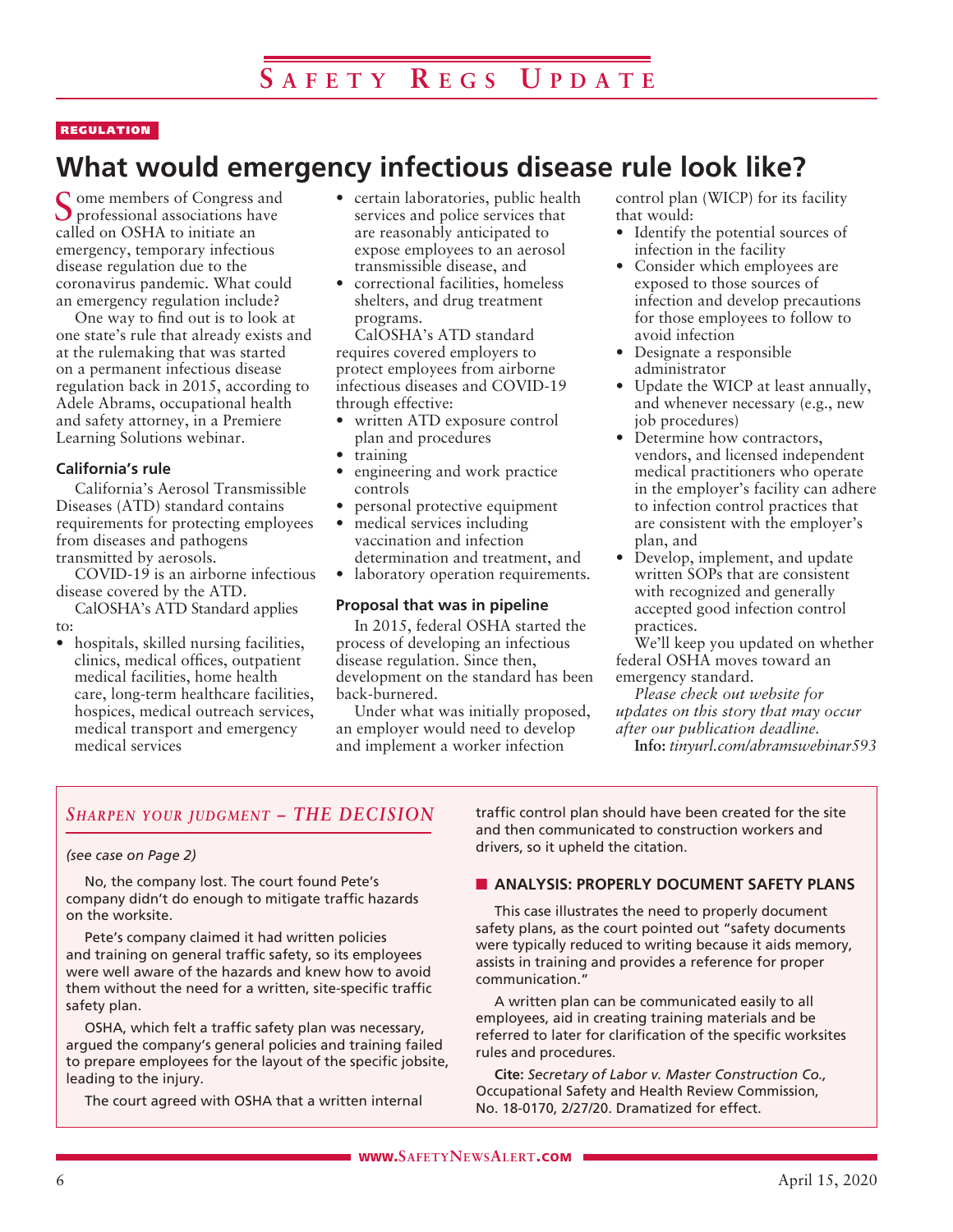### REGULATION

# **What would emergency infectious disease rule look like?**

Some members of Congress and professional associations have called on OSHA to initiate an emergency, temporary infectious disease regulation due to the coronavirus pandemic. What could an emergency regulation include?

One way to find out is to look at one state's rule that already exists and at the rulemaking that was started on a permanent infectious disease regulation back in 2015, according to Adele Abrams, occupational health and safety attorney, in a Premiere Learning Solutions webinar.

### **California's rule**

California's Aerosol Transmissible Diseases (ATD) standard contains requirements for protecting employees from diseases and pathogens transmitted by aerosols.

COVID-19 is an airborne infectious disease covered by the ATD.

CalOSHA's ATD Standard applies to:

• hospitals, skilled nursing facilities, clinics, medical offices, outpatient medical facilities, home health care, long-term healthcare facilities, hospices, medical outreach services, medical transport and emergency medical services

- certain laboratories, public health services and police services that are reasonably anticipated to expose employees to an aerosol transmissible disease, and
- correctional facilities, homeless shelters, and drug treatment programs.

CalOSHA's ATD standard requires covered employers to protect employees from airborne infectious diseases and COVID-19 through effective:

- written ATD exposure control plan and procedures
- training
- engineering and work practice controls
- personal protective equipment • medical services including vaccination and infection determination and treatment, and
- laboratory operation requirements.

### **Proposal that was in pipeline**

In 2015, federal OSHA started the process of developing an infectious disease regulation. Since then, development on the standard has been back-burnered.

Under what was initially proposed, an employer would need to develop and implement a worker infection

control plan (WICP) for its facility that would:

- Identify the potential sources of infection in the facility
- Consider which employees are exposed to those sources of infection and develop precautions for those employees to follow to avoid infection
- Designate a responsible administrator
- Update the WICP at least annually, and whenever necessary (e.g., new job procedures)
- Determine how contractors, vendors, and licensed independent medical practitioners who operate in the employer's facility can adhere to infection control practices that are consistent with the employer's plan, and
- Develop, implement, and update written SOPs that are consistent with recognized and generally accepted good infection control practices.

We'll keep you updated on whether federal OSHA moves toward an emergency standard.

*Please check out website for updates on this story that may occur after our publication deadline.* **Info:** *tinyurl.com/abramswebinar593*

### *Sharpen your judgment – THE DECISION*

### *(see case on Page 2)*

No, the company lost. The court found Pete's company didn't do enough to mitigate traffic hazards on the worksite.

Pete's company claimed it had written policies and training on general traffic safety, so its employees were well aware of the hazards and knew how to avoid them without the need for a written, site-specific traffic safety plan.

OSHA, which felt a traffic safety plan was necessary, argued the company's general policies and training failed to prepare employees for the layout of the specific jobsite, leading to the injury.

The court agreed with OSHA that a written internal

traffic control plan should have been created for the site and then communicated to construction workers and drivers, so it upheld the citation.

### **N ANALYSIS: PROPERLY DOCUMENT SAFETY PLANS**

This case illustrates the need to properly document safety plans, as the court pointed out "safety documents were typically reduced to writing because it aids memory, assists in training and provides a reference for proper communication."

A written plan can be communicated easily to all employees, aid in creating training materials and be referred to later for clarification of the specific worksites rules and procedures.

**Cite:** *Secretary of Labor v. Master Construction Co.,* Occupational Safety and Health Review Commission, No. 18-0170, 2/27/20. Dramatized for effect.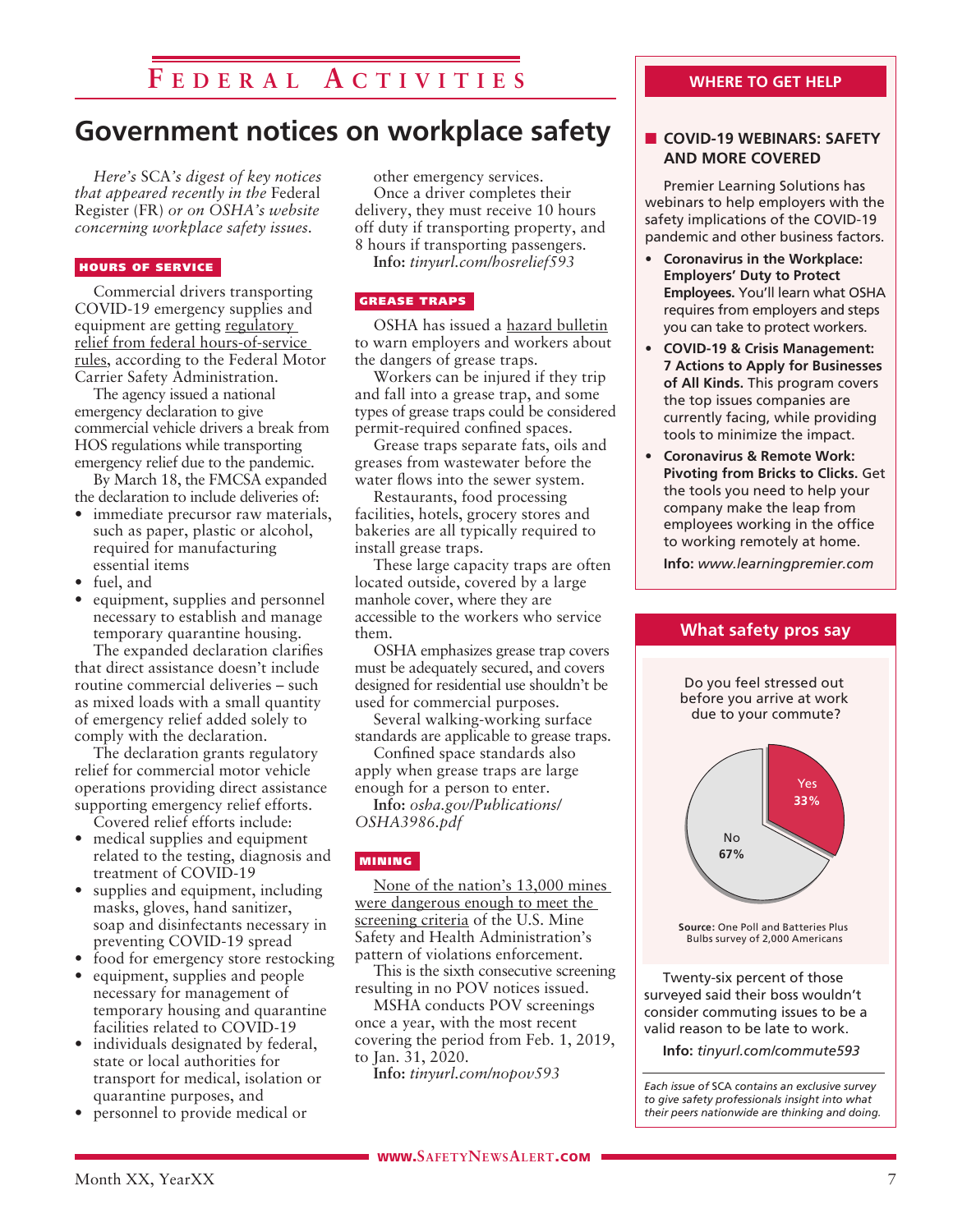### **F e d e r a l A c t ivi t i e s**

### **Government notices on workplace safety**

*Here's* SCA*'s digest of key notices that appeared recently in the* Federal Register (FR) *or on OSHA's website concerning workplace safety issues.* 

#### HOURS OF SERVICE

Commercial drivers transporting COVID-19 emergency supplies and equipment are getting regulatory relief from federal hours-of-service rules, according to the Federal Motor Carrier Safety Administration.

The agency issued a national emergency declaration to give commercial vehicle drivers a break from HOS regulations while transporting emergency relief due to the pandemic.

By March 18, the FMCSA expanded the declaration to include deliveries of:

- immediate precursor raw materials, such as paper, plastic or alcohol, required for manufacturing essential items
- fuel, and
- equipment, supplies and personnel necessary to establish and manage temporary quarantine housing.

The expanded declaration clarifies that direct assistance doesn't include routine commercial deliveries – such as mixed loads with a small quantity of emergency relief added solely to comply with the declaration.

The declaration grants regulatory relief for commercial motor vehicle operations providing direct assistance supporting emergency relief efforts. Covered relief efforts include:

- medical supplies and equipment related to the testing, diagnosis and treatment of COVID-19
- supplies and equipment, including masks, gloves, hand sanitizer, soap and disinfectants necessary in preventing COVID-19 spread
- food for emergency store restocking
- equipment, supplies and people necessary for management of temporary housing and quarantine facilities related to COVID-19
- individuals designated by federal, state or local authorities for transport for medical, isolation or quarantine purposes, and
- personnel to provide medical or

other emergency services. Once a driver completes their delivery, they must receive 10 hours off duty if transporting property, and 8 hours if transporting passengers.

**Info:** *tinyurl.com/hosrelief593*

### GREASE TRAPS

OSHA has issued a hazard bulletin to warn employers and workers about the dangers of grease traps.

Workers can be injured if they trip and fall into a grease trap, and some types of grease traps could be considered permit-required confined spaces.

Grease traps separate fats, oils and greases from wastewater before the water flows into the sewer system.

Restaurants, food processing facilities, hotels, grocery stores and bakeries are all typically required to install grease traps.

These large capacity traps are often located outside, covered by a large manhole cover, where they are accessible to the workers who service them.

OSHA emphasizes grease trap covers must be adequately secured, and covers designed for residential use shouldn't be used for commercial purposes.

Several walking-working surface standards are applicable to grease traps.

Confined space standards also apply when grease traps are large enough for a person to enter.

**Info:** *osha.gov/Publications/ OSHA3986.pdf*

### MINING

None of the nation's 13,000 mines were dangerous enough to meet the screening criteria of the U.S. Mine Safety and Health Administration's pattern of violations enforcement.

This is the sixth consecutive screening resulting in no POV notices issued.

MSHA conducts POV screenings once a year, with the most recent covering the period from Feb. 1, 2019, to Jan. 31, 2020.

**Info:** *tinyurl.com/nopov593*

### **WHERE TO GET HELP**

### **n** COVID-19 WEBINARS: SAFETY **AND MORE COVERED**

Premier Learning Solutions has webinars to help employers with the safety implications of the COVID-19 pandemic and other business factors.

- **Coronavirus in the Workplace: Employers' Duty to Protect Employees.** You'll learn what OSHA requires from employers and steps you can take to protect workers.
- **COVID-19 & Crisis Management: 7 Actions to Apply for Businesses of All Kinds.** This program covers the top issues companies are currently facing, while providing tools to minimize the impact.
- **Coronavirus & Remote Work: Pivoting from Bricks to Clicks.** Get the tools you need to help your company make the leap from employees working in the office to working remotely at home.

**Info:** *www.learningpremier.com*

**What safety pros say**



surveyed said their boss wouldn't consider commuting issues to be a valid reason to be late to work.

**Info:** *tinyurl.com/commute593*

*Each issue of* SCA *contains an exclusive survey to give safety professionals insight into what their peers nationwide are thinking and doing.*